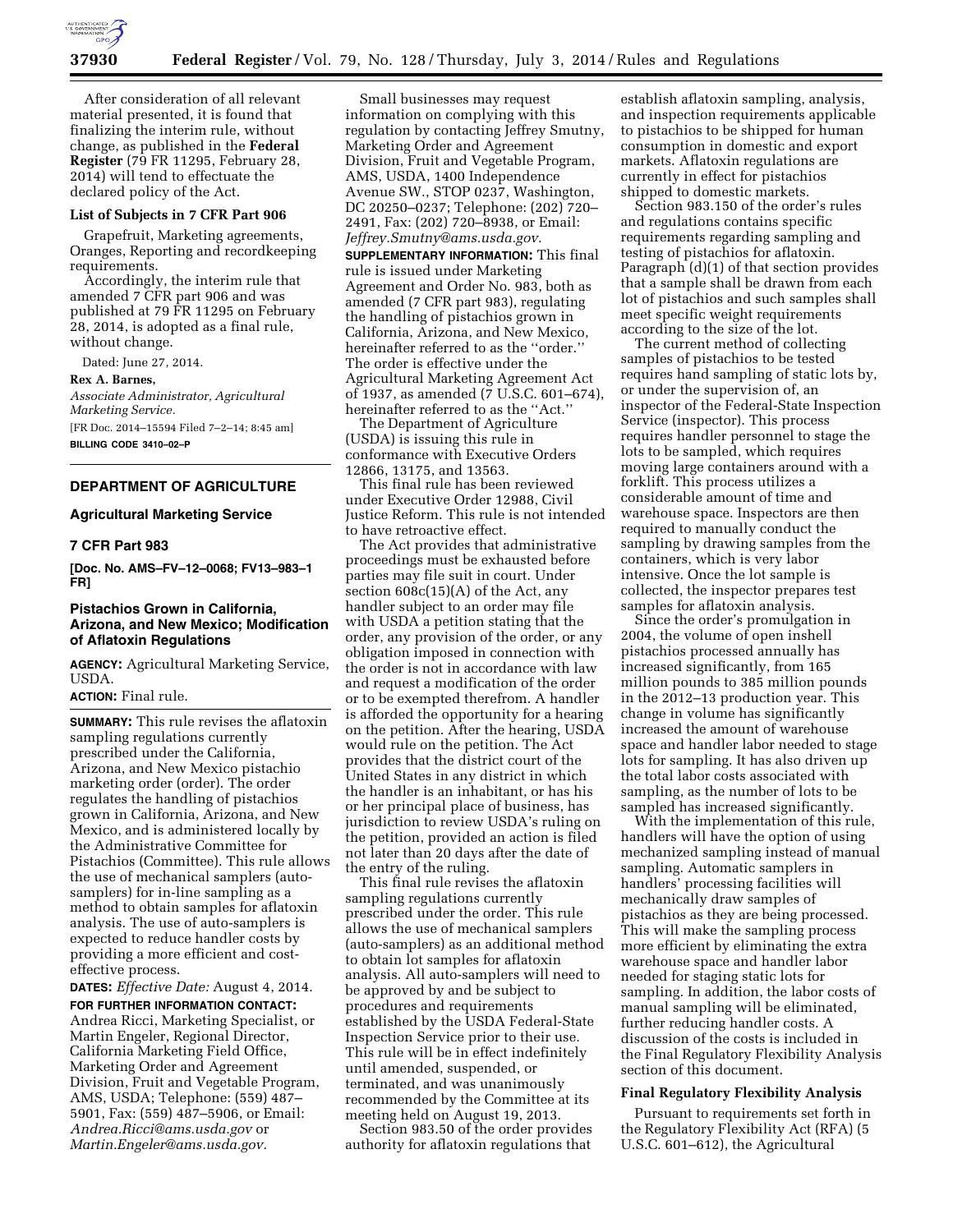

After consideration of all relevant material presented, it is found that finalizing the interim rule, without change, as published in the **Federal Register** (79 FR 11295, February 28, 2014) will tend to effectuate the declared policy of the Act.

#### **List of Subjects in 7 CFR Part 906**

Grapefruit, Marketing agreements, Oranges, Reporting and recordkeeping requirements.

Accordingly, the interim rule that amended 7 CFR part 906 and was published at 79 FR 11295 on February 28, 2014, is adopted as a final rule, without change.

Dated: June 27, 2014.

#### **Rex A. Barnes,**

*Associate Administrator, Agricultural Marketing Service.* 

[FR Doc. 2014–15594 Filed 7–2–14; 8:45 am] **BILLING CODE 3410–02–P** 

**DEPARTMENT OF AGRICULTURE** 

#### **Agricultural Marketing Service**

### **7 CFR Part 983**

**[Doc. No. AMS–FV–12–0068; FV13–983–1 FR]** 

### **Pistachios Grown in California, Arizona, and New Mexico; Modification of Aflatoxin Regulations**

**AGENCY:** Agricultural Marketing Service, USDA.

#### **ACTION:** Final rule.

**SUMMARY:** This rule revises the aflatoxin sampling regulations currently prescribed under the California, Arizona, and New Mexico pistachio marketing order (order). The order regulates the handling of pistachios grown in California, Arizona, and New Mexico, and is administered locally by the Administrative Committee for Pistachios (Committee). This rule allows the use of mechanical samplers (autosamplers) for in-line sampling as a method to obtain samples for aflatoxin analysis. The use of auto-samplers is expected to reduce handler costs by providing a more efficient and costeffective process.

**DATES:** *Effective Date:* August 4, 2014.

**FOR FURTHER INFORMATION CONTACT:**  Andrea Ricci, Marketing Specialist, or Martin Engeler, Regional Director, California Marketing Field Office, Marketing Order and Agreement Division, Fruit and Vegetable Program, AMS, USDA; Telephone: (559) 487– 5901, Fax: (559) 487–5906, or Email: *[Andrea.Ricci@ams.usda.gov](mailto:Andrea.Ricci@ams.usda.gov)* or *[Martin.Engeler@ams.usda.gov.](mailto:Martin.Engeler@ams.usda.gov)* 

Small businesses may request information on complying with this regulation by contacting Jeffrey Smutny, Marketing Order and Agreement Division, Fruit and Vegetable Program, AMS, USDA, 1400 Independence Avenue SW., STOP 0237, Washington, DC 20250–0237; Telephone: (202) 720– 2491, Fax: (202) 720–8938, or Email: *[Jeffrey.Smutny@ams.usda.gov.](mailto:Jeffrey.Smutny@ams.usda.gov)* 

**SUPPLEMENTARY INFORMATION:** This final rule is issued under Marketing Agreement and Order No. 983, both as amended (7 CFR part 983), regulating the handling of pistachios grown in California, Arizona, and New Mexico, hereinafter referred to as the ''order.'' The order is effective under the Agricultural Marketing Agreement Act of 1937, as amended (7 U.S.C. 601–674), hereinafter referred to as the ''Act.''

The Department of Agriculture (USDA) is issuing this rule in conformance with Executive Orders 12866, 13175, and 13563.

This final rule has been reviewed under Executive Order 12988, Civil Justice Reform. This rule is not intended to have retroactive effect.

The Act provides that administrative proceedings must be exhausted before parties may file suit in court. Under section 608c(15)(A) of the Act, any handler subject to an order may file with USDA a petition stating that the order, any provision of the order, or any obligation imposed in connection with the order is not in accordance with law and request a modification of the order or to be exempted therefrom. A handler is afforded the opportunity for a hearing on the petition. After the hearing, USDA would rule on the petition. The Act provides that the district court of the United States in any district in which the handler is an inhabitant, or has his or her principal place of business, has jurisdiction to review USDA's ruling on the petition, provided an action is filed not later than 20 days after the date of the entry of the ruling.

This final rule revises the aflatoxin sampling regulations currently prescribed under the order. This rule allows the use of mechanical samplers (auto-samplers) as an additional method to obtain lot samples for aflatoxin analysis. All auto-samplers will need to be approved by and be subject to procedures and requirements established by the USDA Federal-State Inspection Service prior to their use. This rule will be in effect indefinitely until amended, suspended, or terminated, and was unanimously recommended by the Committee at its meeting held on August 19, 2013.

Section 983.50 of the order provides authority for aflatoxin regulations that

establish aflatoxin sampling, analysis, and inspection requirements applicable to pistachios to be shipped for human consumption in domestic and export markets. Aflatoxin regulations are currently in effect for pistachios shipped to domestic markets.

Section 983.150 of the order's rules and regulations contains specific requirements regarding sampling and testing of pistachios for aflatoxin. Paragraph (d)(1) of that section provides that a sample shall be drawn from each lot of pistachios and such samples shall meet specific weight requirements according to the size of the lot.

The current method of collecting samples of pistachios to be tested requires hand sampling of static lots by, or under the supervision of, an inspector of the Federal-State Inspection Service (inspector). This process requires handler personnel to stage the lots to be sampled, which requires moving large containers around with a forklift. This process utilizes a considerable amount of time and warehouse space. Inspectors are then required to manually conduct the sampling by drawing samples from the containers, which is very labor intensive. Once the lot sample is collected, the inspector prepares test samples for aflatoxin analysis.

Since the order's promulgation in 2004, the volume of open inshell pistachios processed annually has increased significantly, from 165 million pounds to 385 million pounds in the 2012–13 production year. This change in volume has significantly increased the amount of warehouse space and handler labor needed to stage lots for sampling. It has also driven up the total labor costs associated with sampling, as the number of lots to be sampled has increased significantly.

With the implementation of this rule, handlers will have the option of using mechanized sampling instead of manual sampling. Automatic samplers in handlers' processing facilities will mechanically draw samples of pistachios as they are being processed. This will make the sampling process more efficient by eliminating the extra warehouse space and handler labor needed for staging static lots for sampling. In addition, the labor costs of manual sampling will be eliminated, further reducing handler costs. A discussion of the costs is included in the Final Regulatory Flexibility Analysis section of this document.

### **Final Regulatory Flexibility Analysis**

Pursuant to requirements set forth in the Regulatory Flexibility Act (RFA) (5 U.S.C. 601–612), the Agricultural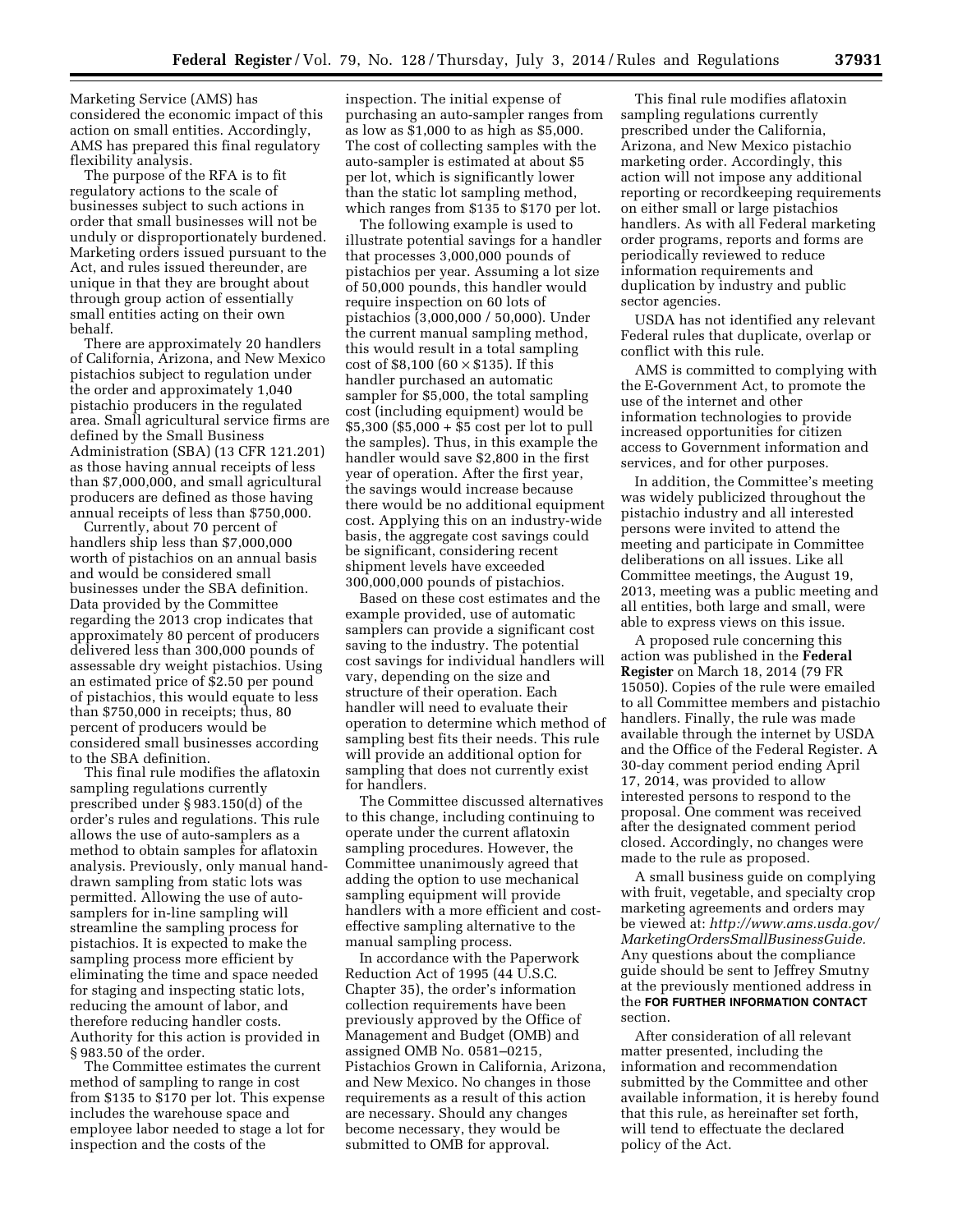Marketing Service (AMS) has considered the economic impact of this action on small entities. Accordingly, AMS has prepared this final regulatory flexibility analysis.

The purpose of the RFA is to fit regulatory actions to the scale of businesses subject to such actions in order that small businesses will not be unduly or disproportionately burdened. Marketing orders issued pursuant to the Act, and rules issued thereunder, are unique in that they are brought about through group action of essentially small entities acting on their own behalf.

There are approximately 20 handlers of California, Arizona, and New Mexico pistachios subject to regulation under the order and approximately 1,040 pistachio producers in the regulated area. Small agricultural service firms are defined by the Small Business Administration (SBA) (13 CFR 121.201) as those having annual receipts of less than \$7,000,000, and small agricultural producers are defined as those having annual receipts of less than \$750,000.

Currently, about 70 percent of handlers ship less than \$7,000,000 worth of pistachios on an annual basis and would be considered small businesses under the SBA definition. Data provided by the Committee regarding the 2013 crop indicates that approximately 80 percent of producers delivered less than 300,000 pounds of assessable dry weight pistachios. Using an estimated price of \$2.50 per pound of pistachios, this would equate to less than \$750,000 in receipts; thus, 80 percent of producers would be considered small businesses according to the SBA definition.

This final rule modifies the aflatoxin sampling regulations currently prescribed under § 983.150(d) of the order's rules and regulations. This rule allows the use of auto-samplers as a method to obtain samples for aflatoxin analysis. Previously, only manual handdrawn sampling from static lots was permitted. Allowing the use of autosamplers for in-line sampling will streamline the sampling process for pistachios. It is expected to make the sampling process more efficient by eliminating the time and space needed for staging and inspecting static lots, reducing the amount of labor, and therefore reducing handler costs. Authority for this action is provided in § 983.50 of the order.

The Committee estimates the current method of sampling to range in cost from \$135 to \$170 per lot. This expense includes the warehouse space and employee labor needed to stage a lot for inspection and the costs of the

inspection. The initial expense of purchasing an auto-sampler ranges from as low as \$1,000 to as high as \$5,000. The cost of collecting samples with the auto-sampler is estimated at about \$5 per lot, which is significantly lower than the static lot sampling method, which ranges from \$135 to \$170 per lot.

The following example is used to illustrate potential savings for a handler that processes 3,000,000 pounds of pistachios per year. Assuming a lot size of 50,000 pounds, this handler would require inspection on 60 lots of pistachios (3,000,000 / 50,000). Under the current manual sampling method, this would result in a total sampling cost of \$8,100 (60  $\times$  \$135). If this handler purchased an automatic sampler for \$5,000, the total sampling cost (including equipment) would be \$5,300 (\$5,000 + \$5 cost per lot to pull the samples). Thus, in this example the handler would save \$2,800 in the first year of operation. After the first year, the savings would increase because there would be no additional equipment cost. Applying this on an industry-wide basis, the aggregate cost savings could be significant, considering recent shipment levels have exceeded 300,000,000 pounds of pistachios.

Based on these cost estimates and the example provided, use of automatic samplers can provide a significant cost saving to the industry. The potential cost savings for individual handlers will vary, depending on the size and structure of their operation. Each handler will need to evaluate their operation to determine which method of sampling best fits their needs. This rule will provide an additional option for sampling that does not currently exist for handlers.

The Committee discussed alternatives to this change, including continuing to operate under the current aflatoxin sampling procedures. However, the Committee unanimously agreed that adding the option to use mechanical sampling equipment will provide handlers with a more efficient and costeffective sampling alternative to the manual sampling process.

In accordance with the Paperwork Reduction Act of 1995 (44 U.S.C. Chapter 35), the order's information collection requirements have been previously approved by the Office of Management and Budget (OMB) and assigned OMB No. 0581–0215, Pistachios Grown in California, Arizona, and New Mexico. No changes in those requirements as a result of this action are necessary. Should any changes become necessary, they would be submitted to OMB for approval.

This final rule modifies aflatoxin sampling regulations currently prescribed under the California, Arizona, and New Mexico pistachio marketing order. Accordingly, this action will not impose any additional reporting or recordkeeping requirements on either small or large pistachios handlers. As with all Federal marketing order programs, reports and forms are periodically reviewed to reduce information requirements and duplication by industry and public sector agencies.

USDA has not identified any relevant Federal rules that duplicate, overlap or conflict with this rule.

AMS is committed to complying with the E-Government Act, to promote the use of the internet and other information technologies to provide increased opportunities for citizen access to Government information and services, and for other purposes.

In addition, the Committee's meeting was widely publicized throughout the pistachio industry and all interested persons were invited to attend the meeting and participate in Committee deliberations on all issues. Like all Committee meetings, the August 19, 2013, meeting was a public meeting and all entities, both large and small, were able to express views on this issue.

A proposed rule concerning this action was published in the **Federal Register** on March 18, 2014 (79 FR 15050). Copies of the rule were emailed to all Committee members and pistachio handlers. Finally, the rule was made available through the internet by USDA and the Office of the Federal Register. A 30-day comment period ending April 17, 2014, was provided to allow interested persons to respond to the proposal. One comment was received after the designated comment period closed. Accordingly, no changes were made to the rule as proposed.

A small business guide on complying with fruit, vegetable, and specialty crop marketing agreements and orders may be viewed at: *[http://www.ams.usda.gov/](http://www.ams.usda.gov/MarketingOrdersSmallBusinessGuide) [MarketingOrdersSmallBusinessGuide.](http://www.ams.usda.gov/MarketingOrdersSmallBusinessGuide)*  Any questions about the compliance guide should be sent to Jeffrey Smutny at the previously mentioned address in the **FOR FURTHER INFORMATION CONTACT** section.

After consideration of all relevant matter presented, including the information and recommendation submitted by the Committee and other available information, it is hereby found that this rule, as hereinafter set forth, will tend to effectuate the declared policy of the Act.